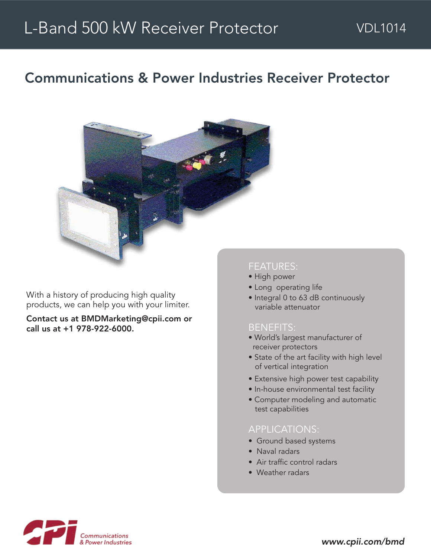# Communications & Power Industries Receiver Protector



With a history of producing high quality products, we can help you with your limiter.

Contact us at BMDMarketing@cpii.com or call us at +1 978-922-6000.

## FEATURES:

- High power
- Long operating life
- Integral 0 to 63 dB continuously variable attenuator

#### BENEFITS:

- World's largest manufacturer of receiver protectors
- State of the art facility with high level of vertical integration
- Extensive high power test capability
- In-house environmental test facility
- Computer modeling and automatic test capabilities

### APPLICATIONS:

- Ground based systems
- Naval radars
- Air traffic control radars
- Weather radars